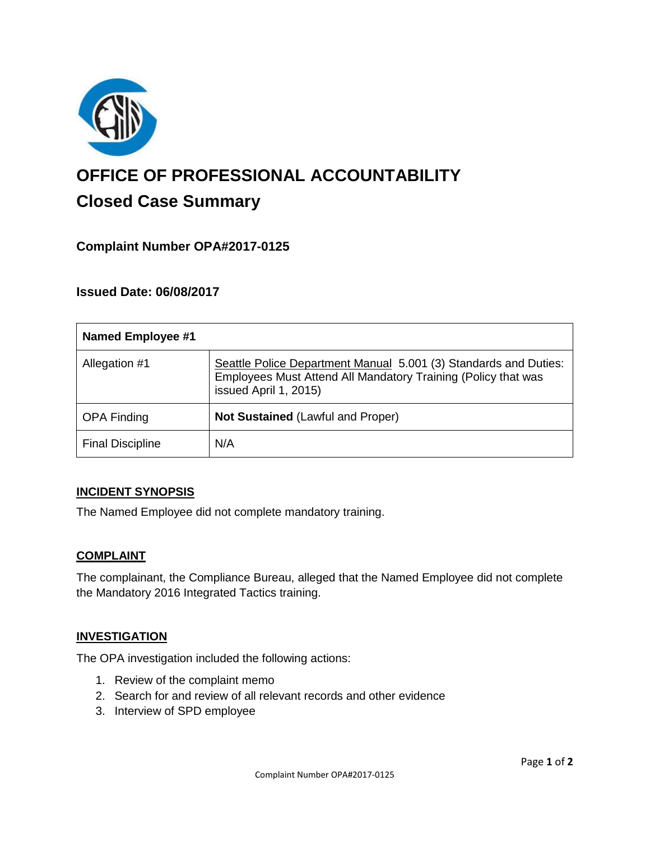

# **OFFICE OF PROFESSIONAL ACCOUNTABILITY Closed Case Summary**

# **Complaint Number OPA#2017-0125**

# **Issued Date: 06/08/2017**

| <b>Named Employee #1</b> |                                                                                                                                                            |
|--------------------------|------------------------------------------------------------------------------------------------------------------------------------------------------------|
| Allegation #1            | Seattle Police Department Manual 5.001 (3) Standards and Duties:<br>Employees Must Attend All Mandatory Training (Policy that was<br>issued April 1, 2015) |
| <b>OPA Finding</b>       | <b>Not Sustained (Lawful and Proper)</b>                                                                                                                   |
| <b>Final Discipline</b>  | N/A                                                                                                                                                        |

### **INCIDENT SYNOPSIS**

The Named Employee did not complete mandatory training.

### **COMPLAINT**

The complainant, the Compliance Bureau, alleged that the Named Employee did not complete the Mandatory 2016 Integrated Tactics training.

### **INVESTIGATION**

The OPA investigation included the following actions:

- 1. Review of the complaint memo
- 2. Search for and review of all relevant records and other evidence
- 3. Interview of SPD employee